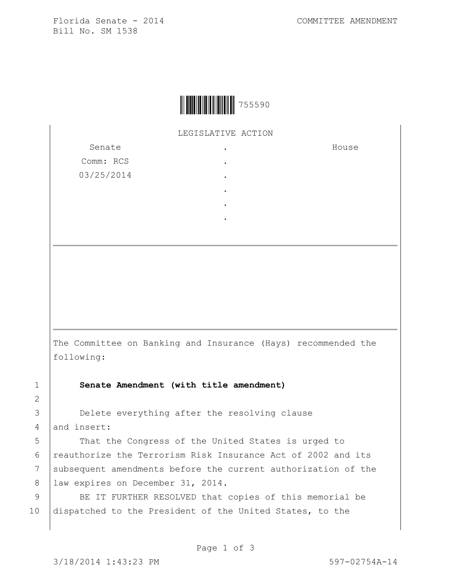Florida Senate - 2014 COMMITTEE AMENDMENT Bill No. SM 1538



LEGISLATIVE ACTION .

> . . . . .

Senate Comm: RCS 03/25/2014 House

The Committee on Banking and Insurance (Hays) recommended the following:

1 **Senate Amendment (with title amendment)**

2

3 Delete everything after the resolving clause 4 and insert:

5 | That the Congress of the United States is urged to 6 | reauthorize the Terrorism Risk Insurance Act of 2002 and its 7 subsequent amendments before the current authorization of the 8 | law expires on December 31, 2014.

9 | BE IT FURTHER RESOLVED that copies of this memorial be 10 dispatched to the President of the United States, to the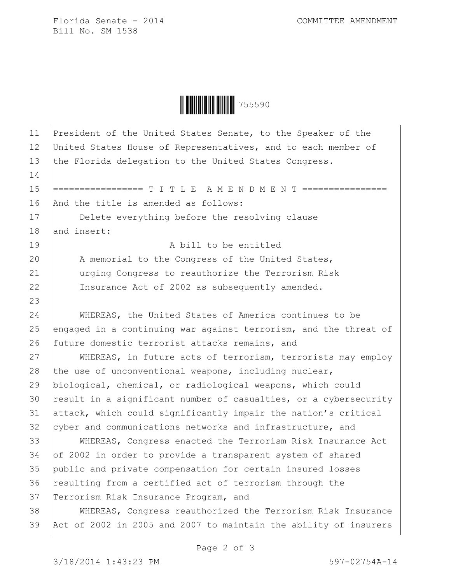Florida Senate - 2014 COMMITTEE AMENDMENT Bill No. SM 1538

**|| ||| ||| ||| ||| ||| ||| ||** 755590

11 President of the United States Senate, to the Speaker of the 12 United States House of Representatives, and to each member of 13 the Florida delegation to the United States Congress. 14 15 |================= T I T L E A M E N D M E N T ================ 16 And the title is amended as follows: 17 Delete everything before the resolving clause 18 and insert: 19 A bill to be entitled 20 A memorial to the Congress of the United States, 21 urging Congress to reauthorize the Terrorism Risk 22 | Insurance Act of 2002 as subsequently amended. 23 24 WHEREAS, the United States of America continues to be 25 engaged in a continuing war against terrorism, and the threat of 26 future domestic terrorist attacks remains, and 27 WHEREAS, in future acts of terrorism, terrorists may employ 28 the use of unconventional weapons, including nuclear, 29 biological, chemical, or radiological weapons, which could 30 result in a significant number of casualties, or a cybersecurity 31 attack, which could significantly impair the nation's critical 32 cyber and communications networks and infrastructure, and 33 WHEREAS, Congress enacted the Terrorism Risk Insurance Act 34 of 2002 in order to provide a transparent system of shared 35 public and private compensation for certain insured losses 36 resulting from a certified act of terrorism through the 37 Terrorism Risk Insurance Program, and 38 WHEREAS, Congress reauthorized the Terrorism Risk Insurance 39 Act of 2002 in 2005 and 2007 to maintain the ability of insurers